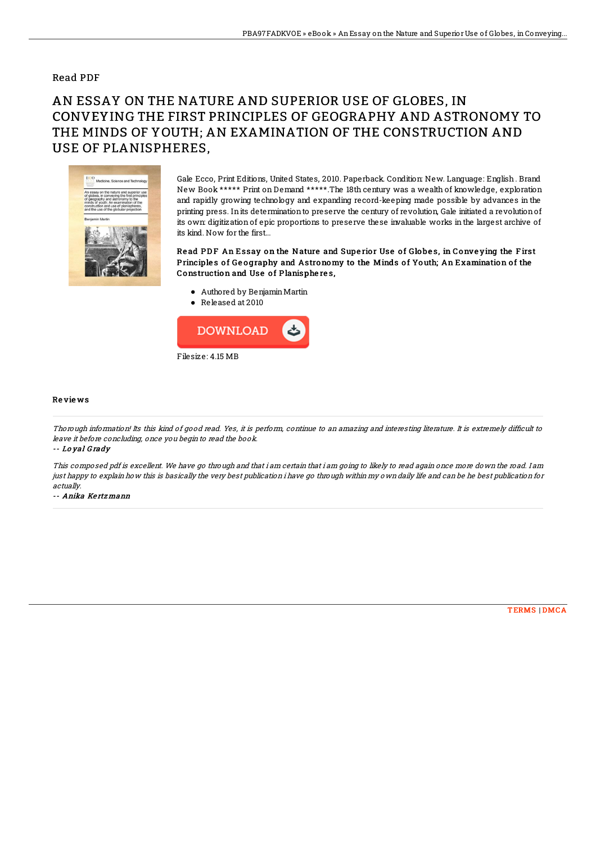## Read PDF

## AN ESSAY ON THE NATURE AND SUPERIOR USE OF GLOBES, IN CONVEYING THE FIRST PRINCIPLES OF GEOGRAPHY AND ASTRONOMY TO THE MINDS OF YOUTH; AN EXAMINATION OF THE CONSTRUCTION AND USE OF PLANISPHERES,



Gale Ecco, Print Editions, United States, 2010. Paperback. Condition: New. Language: English . Brand New Book \*\*\*\*\* Print on Demand \*\*\*\*\*.The 18th century was a wealth of knowledge, exploration and rapidly growing technology and expanding record-keeping made possible by advances in the printing press. Inits determinationto preserve the century of revolution, Gale initiated a revolutionof its own: digitization of epic proportions to preserve these invaluable works in the largest archive of its kind. Now for the first...

Read PDF An Essay on the Nature and Superior Use of Globes, in Conveying the First Principles of Geography and Astronomy to the Minds of Youth; An Examination of the Construction and Use of Planispheres,

- Authored by Benjamin Martin
- Released at 2010



## Re vie ws

Thorough information! Its this kind of good read. Yes, it is perform, continue to an amazing and interesting literature. It is extremely difficult to leave it before concluding, once you begin to read the book.

-- Lo yal G rady

This composed pdf is excellent. We have go through and that i am certain that i am going to likely to read again once more down the road. I am just happy to explain how this is basically the very best publication i have go through within my own daily life and can be he best publication for actually.

-- Anika Ke rtzmann